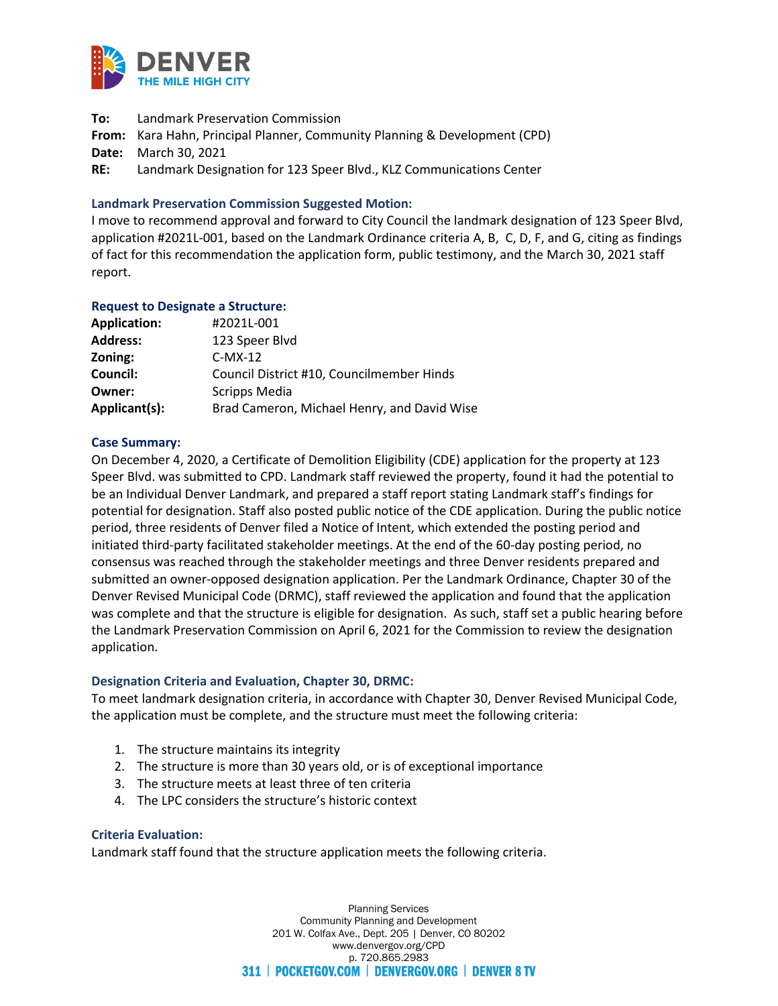

**To:** Landmark Preservation Commission

**From:** Kara Hahn, Principal Planner, Community Planning & Development (CPD)

**Date:** March 30, 2021

**RE:** Landmark Designation for 123 Speer Blvd., KLZ Communications Center

## **Landmark Preservation Commission Suggested Motion:**

I move to recommend approval and forward to City Council the landmark designation of 123 Speer Blvd, application #2021L-001, based on the Landmark Ordinance criteria A, B, C, D, F, and G, citing as findings of fact for this recommendation the application form, public testimony, and the March 30, 2021 staff report.

### **Request to Designate a Structure:**

| <b>Application:</b> | #2021L-001                                  |
|---------------------|---------------------------------------------|
| <b>Address:</b>     | 123 Speer Blvd                              |
| Zoning:             | $C-MX-12$                                   |
| Council:            | Council District #10, Councilmember Hinds   |
| Owner:              | Scripps Media                               |
| Applicant(s):       | Brad Cameron, Michael Henry, and David Wise |

### **Case Summary:**

On December 4, 2020, a Certificate of Demolition Eligibility (CDE) application for the property at 123 Speer Blvd. was submitted to CPD. Landmark staff reviewed the property, found it had the potential to be an Individual Denver Landmark, and prepared a staff report stating Landmark staff's findings for potential for designation. Staff also posted public notice of the CDE application. During the public notice period, three residents of Denver filed a Notice of Intent, which extended the posting period and initiated third-party facilitated stakeholder meetings. At the end of the 60-day posting period, no consensus was reached through the stakeholder meetings and three Denver residents prepared and submitted an owner-opposed designation application. Per the Landmark Ordinance, Chapter 30 of the Denver Revised Municipal Code (DRMC), staff reviewed the application and found that the application was complete and that the structure is eligible for designation. As such, staff set a public hearing before the Landmark Preservation Commission on April 6, 2021 for the Commission to review the designation application.

## **Designation Criteria and Evaluation, Chapter 30, DRMC:**

To meet landmark designation criteria, in accordance with Chapter 30, Denver Revised Municipal Code, the application must be complete, and the structure must meet the following criteria:

- 1. The structure maintains its integrity
- 2. The structure is more than 30 years old, or is of exceptional importance
- 3. The structure meets at least three of ten criteria
- 4. The LPC considers the structure's historic context

#### **Criteria Evaluation:**

Landmark staff found that the structure application meets the following criteria.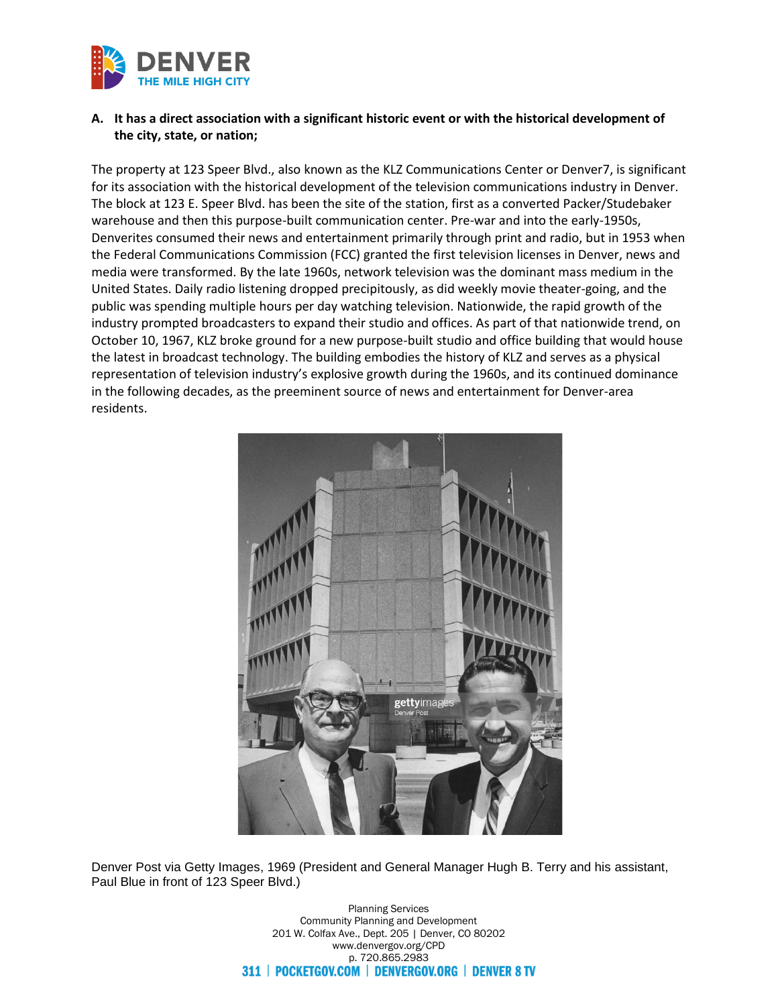

# **A. It has a direct association with a significant historic event or with the historical development of the city, state, or nation;**

The property at 123 Speer Blvd., also known as the KLZ Communications Center or Denver7, is significant for its association with the historical development of the television communications industry in Denver. The block at 123 E. Speer Blvd. has been the site of the station, first as a converted Packer/Studebaker warehouse and then this purpose-built communication center. Pre-war and into the early-1950s, Denverites consumed their news and entertainment primarily through print and radio, but in 1953 when the Federal Communications Commission (FCC) granted the first television licenses in Denver, news and media were transformed. By the late 1960s, network television was the dominant mass medium in the United States. Daily radio listening dropped precipitously, as did weekly movie theater-going, and the public was spending multiple hours per day watching television. Nationwide, the rapid growth of the industry prompted broadcasters to expand their studio and offices. As part of that nationwide trend, on October 10, 1967, KLZ broke ground for a new purpose-built studio and office building that would house the latest in broadcast technology. The building embodies the history of KLZ and serves as a physical representation of television industry's explosive growth during the 1960s, and its continued dominance in the following decades, as the preeminent source of news and entertainment for Denver-area residents.



Denver Post via Getty Images, 1969 (President and General Manager Hugh B. Terry and his assistant, Paul Blue in front of 123 Speer Blvd.)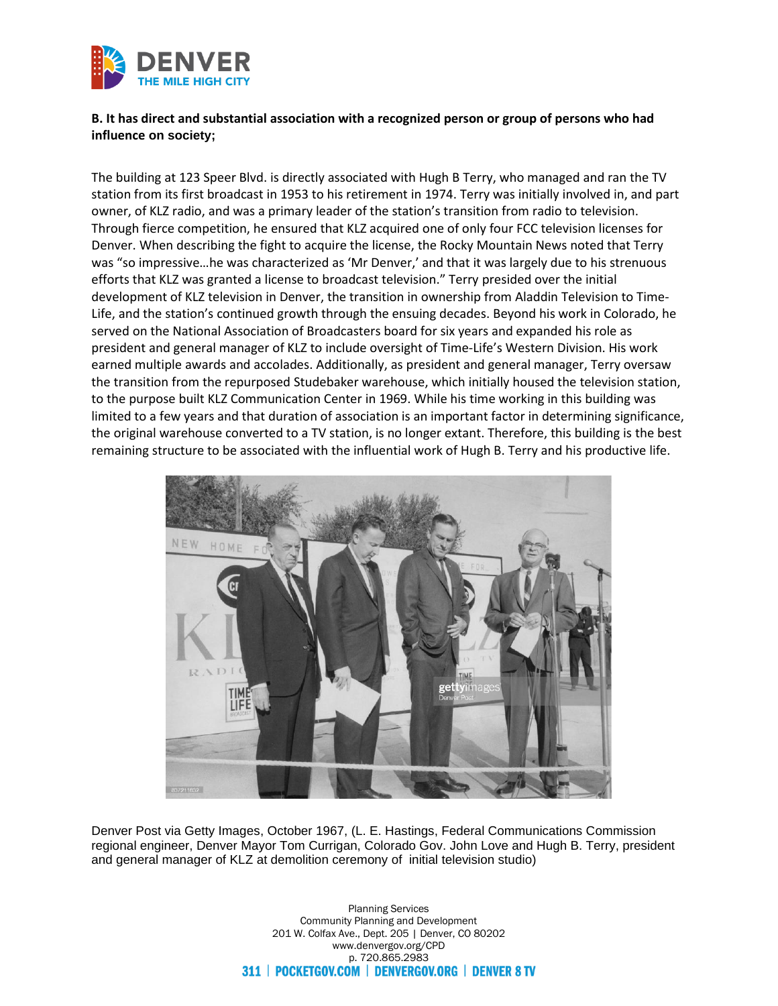

# **B. It has direct and substantial association with a recognized person or group of persons who had influence on society;**

The building at 123 Speer Blvd. is directly associated with Hugh B Terry, who managed and ran the TV station from its first broadcast in 1953 to his retirement in 1974. Terry was initially involved in, and part owner, of KLZ radio, and was a primary leader of the station's transition from radio to television. Through fierce competition, he ensured that KLZ acquired one of only four FCC television licenses for Denver. When describing the fight to acquire the license, the Rocky Mountain News noted that Terry was "so impressive…he was characterized as 'Mr Denver,' and that it was largely due to his strenuous efforts that KLZ was granted a license to broadcast television." Terry presided over the initial development of KLZ television in Denver, the transition in ownership from Aladdin Television to Time-Life, and the station's continued growth through the ensuing decades. Beyond his work in Colorado, he served on the National Association of Broadcasters board for six years and expanded his role as president and general manager of KLZ to include oversight of Time-Life's Western Division. His work earned multiple awards and accolades. Additionally, as president and general manager, Terry oversaw the transition from the repurposed Studebaker warehouse, which initially housed the television station, to the purpose built KLZ Communication Center in 1969. While his time working in this building was limited to a few years and that duration of association is an important factor in determining significance, the original warehouse converted to a TV station, is no longer extant. Therefore, this building is the best remaining structure to be associated with the influential work of Hugh B. Terry and his productive life.



Denver Post via Getty Images, October 1967, (L. E. Hastings, Federal Communications Commission regional engineer, Denver Mayor Tom Currigan, Colorado Gov. John Love and Hugh B. Terry, president and general manager of KLZ at demolition ceremony of initial television studio)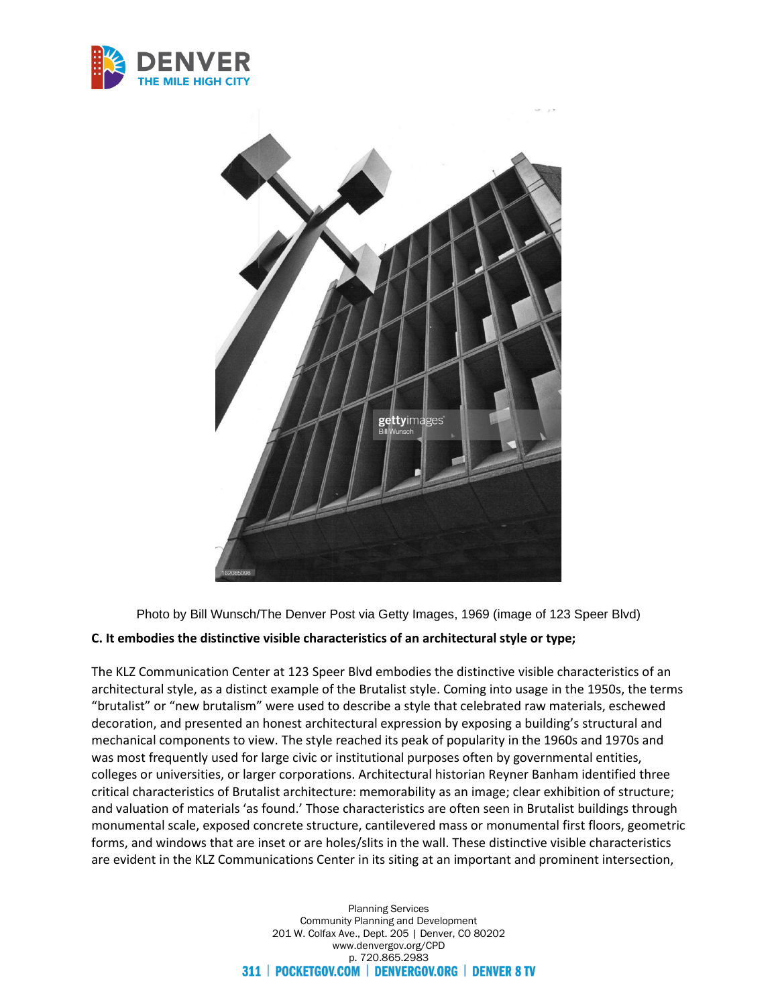



Photo by Bill Wunsch/The Denver Post via Getty Images, 1969 (image of 123 Speer Blvd)

# **C. It embodies the distinctive visible characteristics of an architectural style or type;**

The KLZ Communication Center at 123 Speer Blvd embodies the distinctive visible characteristics of an architectural style, as a distinct example of the Brutalist style. Coming into usage in the 1950s, the terms "brutalist" or "new brutalism" were used to describe a style that celebrated raw materials, eschewed decoration, and presented an honest architectural expression by exposing a building's structural and mechanical components to view. The style reached its peak of popularity in the 1960s and 1970s and was most frequently used for large civic or institutional purposes often by governmental entities, colleges or universities, or larger corporations. Architectural historian Reyner Banham identified three critical characteristics of Brutalist architecture: memorability as an image; clear exhibition of structure; and valuation of materials 'as found.' Those characteristics are often seen in Brutalist buildings through monumental scale, exposed concrete structure, cantilevered mass or monumental first floors, geometric forms, and windows that are inset or are holes/slits in the wall. These distinctive visible characteristics are evident in the KLZ Communications Center in its siting at an important and prominent intersection,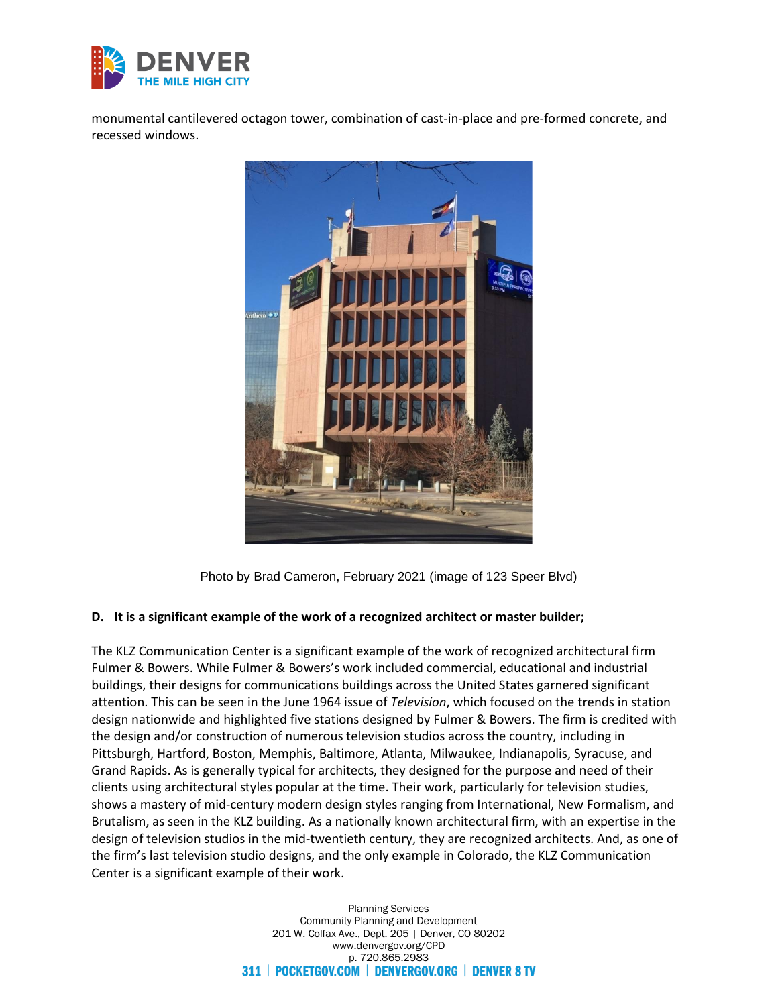

monumental cantilevered octagon tower, combination of cast-in-place and pre-formed concrete, and recessed windows.



Photo by Brad Cameron, February 2021 (image of 123 Speer Blvd)

## **D. It is a significant example of the work of a recognized architect or master builder;**

The KLZ Communication Center is a significant example of the work of recognized architectural firm Fulmer & Bowers. While Fulmer & Bowers's work included commercial, educational and industrial buildings, their designs for communications buildings across the United States garnered significant attention. This can be seen in the June 1964 issue of *Television*, which focused on the trends in station design nationwide and highlighted five stations designed by Fulmer & Bowers. The firm is credited with the design and/or construction of numerous television studios across the country, including in Pittsburgh, Hartford, Boston, Memphis, Baltimore, Atlanta, Milwaukee, Indianapolis, Syracuse, and Grand Rapids. As is generally typical for architects, they designed for the purpose and need of their clients using architectural styles popular at the time. Their work, particularly for television studies, shows a mastery of mid-century modern design styles ranging from International, New Formalism, and Brutalism, as seen in the KLZ building. As a nationally known architectural firm, with an expertise in the design of television studios in the mid-twentieth century, they are recognized architects. And, as one of the firm's last television studio designs, and the only example in Colorado, the KLZ Communication Center is a significant example of their work.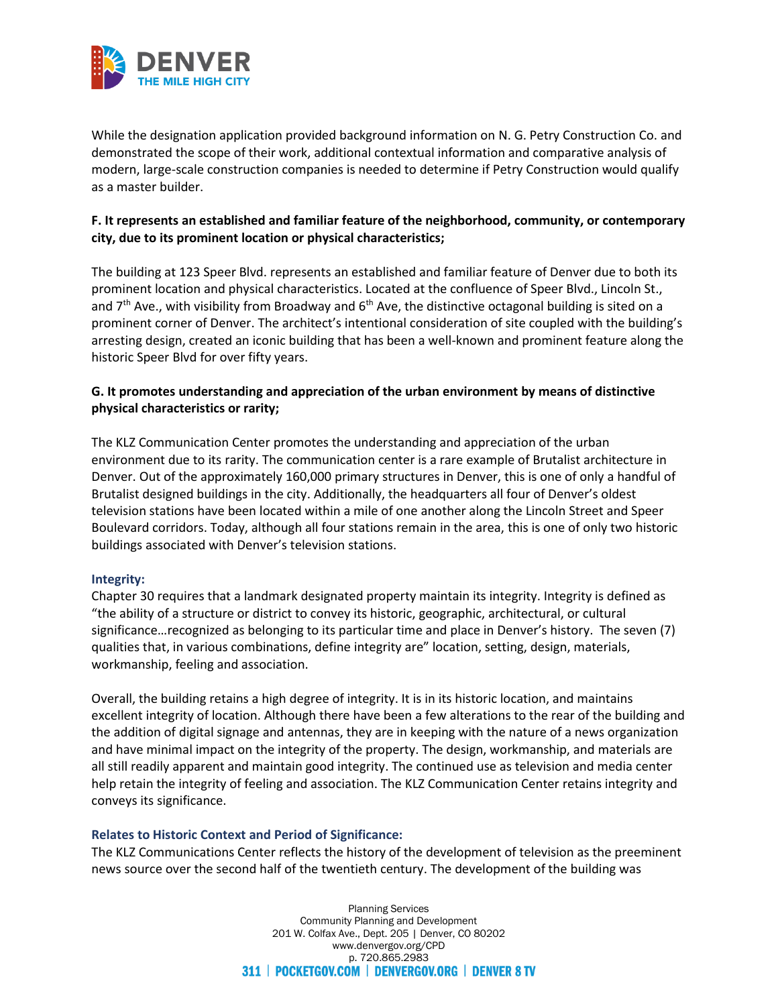

While the designation application provided background information on N. G. Petry Construction Co. and demonstrated the scope of their work, additional contextual information and comparative analysis of modern, large-scale construction companies is needed to determine if Petry Construction would qualify as a master builder.

# **F. It represents an established and familiar feature of the neighborhood, community, or contemporary city, due to its prominent location or physical characteristics;**

The building at 123 Speer Blvd. represents an established and familiar feature of Denver due to both its prominent location and physical characteristics. Located at the confluence of Speer Blvd., Lincoln St., and 7<sup>th</sup> Ave., with visibility from Broadway and 6<sup>th</sup> Ave, the distinctive octagonal building is sited on a prominent corner of Denver. The architect's intentional consideration of site coupled with the building's arresting design, created an iconic building that has been a well-known and prominent feature along the historic Speer Blvd for over fifty years.

# **G. It promotes understanding and appreciation of the urban environment by means of distinctive physical characteristics or rarity;**

The KLZ Communication Center promotes the understanding and appreciation of the urban environment due to its rarity. The communication center is a rare example of Brutalist architecture in Denver. Out of the approximately 160,000 primary structures in Denver, this is one of only a handful of Brutalist designed buildings in the city. Additionally, the headquarters all four of Denver's oldest television stations have been located within a mile of one another along the Lincoln Street and Speer Boulevard corridors. Today, although all four stations remain in the area, this is one of only two historic buildings associated with Denver's television stations.

## **Integrity:**

Chapter 30 requires that a landmark designated property maintain its integrity. Integrity is defined as "the ability of a structure or district to convey its historic, geographic, architectural, or cultural significance…recognized as belonging to its particular time and place in Denver's history. The seven (7) qualities that, in various combinations, define integrity are" location, setting, design, materials, workmanship, feeling and association.

Overall, the building retains a high degree of integrity. It is in its historic location, and maintains excellent integrity of location. Although there have been a few alterations to the rear of the building and the addition of digital signage and antennas, they are in keeping with the nature of a news organization and have minimal impact on the integrity of the property. The design, workmanship, and materials are all still readily apparent and maintain good integrity. The continued use as television and media center help retain the integrity of feeling and association. The KLZ Communication Center retains integrity and conveys its significance.

#### **Relates to Historic Context and Period of Significance:**

The KLZ Communications Center reflects the history of the development of television as the preeminent news source over the second half of the twentieth century. The development of the building was